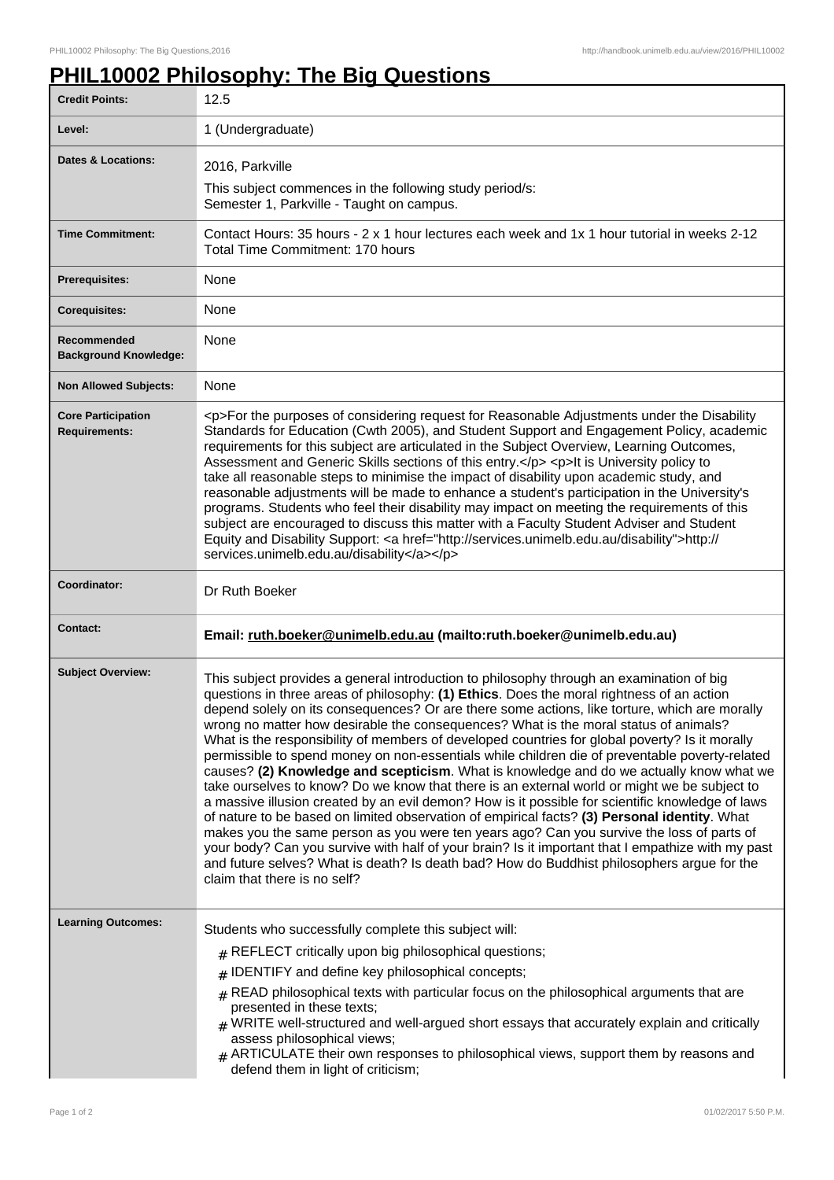## **PHIL10002 Philosophy: The Big Questions**

| <b>Credit Points:</b>                             | 12.5                                                                                                                                                                                                                                                                                                                                                                                                                                                                                                                                                                                                                                                                                                                                                                                                                                                                                                                                                                                                                                                                                                                                                                                                                                                                                                              |
|---------------------------------------------------|-------------------------------------------------------------------------------------------------------------------------------------------------------------------------------------------------------------------------------------------------------------------------------------------------------------------------------------------------------------------------------------------------------------------------------------------------------------------------------------------------------------------------------------------------------------------------------------------------------------------------------------------------------------------------------------------------------------------------------------------------------------------------------------------------------------------------------------------------------------------------------------------------------------------------------------------------------------------------------------------------------------------------------------------------------------------------------------------------------------------------------------------------------------------------------------------------------------------------------------------------------------------------------------------------------------------|
| Level:                                            | 1 (Undergraduate)                                                                                                                                                                                                                                                                                                                                                                                                                                                                                                                                                                                                                                                                                                                                                                                                                                                                                                                                                                                                                                                                                                                                                                                                                                                                                                 |
| <b>Dates &amp; Locations:</b>                     | 2016, Parkville                                                                                                                                                                                                                                                                                                                                                                                                                                                                                                                                                                                                                                                                                                                                                                                                                                                                                                                                                                                                                                                                                                                                                                                                                                                                                                   |
|                                                   | This subject commences in the following study period/s:<br>Semester 1, Parkville - Taught on campus.                                                                                                                                                                                                                                                                                                                                                                                                                                                                                                                                                                                                                                                                                                                                                                                                                                                                                                                                                                                                                                                                                                                                                                                                              |
| <b>Time Commitment:</b>                           | Contact Hours: 35 hours - 2 x 1 hour lectures each week and 1x 1 hour tutorial in weeks 2-12<br>Total Time Commitment: 170 hours                                                                                                                                                                                                                                                                                                                                                                                                                                                                                                                                                                                                                                                                                                                                                                                                                                                                                                                                                                                                                                                                                                                                                                                  |
| <b>Prerequisites:</b>                             | None                                                                                                                                                                                                                                                                                                                                                                                                                                                                                                                                                                                                                                                                                                                                                                                                                                                                                                                                                                                                                                                                                                                                                                                                                                                                                                              |
| <b>Corequisites:</b>                              | None                                                                                                                                                                                                                                                                                                                                                                                                                                                                                                                                                                                                                                                                                                                                                                                                                                                                                                                                                                                                                                                                                                                                                                                                                                                                                                              |
| Recommended<br><b>Background Knowledge:</b>       | None                                                                                                                                                                                                                                                                                                                                                                                                                                                                                                                                                                                                                                                                                                                                                                                                                                                                                                                                                                                                                                                                                                                                                                                                                                                                                                              |
| <b>Non Allowed Subjects:</b>                      | None                                                                                                                                                                                                                                                                                                                                                                                                                                                                                                                                                                                                                                                                                                                                                                                                                                                                                                                                                                                                                                                                                                                                                                                                                                                                                                              |
| <b>Core Participation</b><br><b>Requirements:</b> | <p>For the purposes of considering request for Reasonable Adjustments under the Disability<br/>Standards for Education (Cwth 2005), and Student Support and Engagement Policy, academic<br/>requirements for this subject are articulated in the Subject Overview, Learning Outcomes,<br/>Assessment and Generic Skills sections of this entry.</p> <p>It is University policy to<br/>take all reasonable steps to minimise the impact of disability upon academic study, and<br/>reasonable adjustments will be made to enhance a student's participation in the University's<br/>programs. Students who feel their disability may impact on meeting the requirements of this<br/>subject are encouraged to discuss this matter with a Faculty Student Adviser and Student<br/>Equity and Disability Support: &lt; a href="http://services.unimelb.edu.au/disability"&gt;http://<br/>services.unimelb.edu.au/disability</p>                                                                                                                                                                                                                                                                                                                                                                                      |
| Coordinator:                                      | Dr Ruth Boeker                                                                                                                                                                                                                                                                                                                                                                                                                                                                                                                                                                                                                                                                                                                                                                                                                                                                                                                                                                                                                                                                                                                                                                                                                                                                                                    |
| <b>Contact:</b>                                   | Email: ruth.boeker@unimelb.edu.au (mailto:ruth.boeker@unimelb.edu.au)                                                                                                                                                                                                                                                                                                                                                                                                                                                                                                                                                                                                                                                                                                                                                                                                                                                                                                                                                                                                                                                                                                                                                                                                                                             |
| <b>Subject Overview:</b>                          | This subject provides a general introduction to philosophy through an examination of big<br>questions in three areas of philosophy: (1) Ethics. Does the moral rightness of an action<br>depend solely on its consequences? Or are there some actions, like torture, which are morally<br>wrong no matter how desirable the consequences? What is the moral status of animals?<br>What is the responsibility of members of developed countries for global poverty? Is it morally<br>permissible to spend money on non-essentials while children die of preventable poverty-related<br>causes? (2) Knowledge and scepticism. What is knowledge and do we actually know what we<br>take ourselves to know? Do we know that there is an external world or might we be subject to<br>a massive illusion created by an evil demon? How is it possible for scientific knowledge of laws<br>of nature to be based on limited observation of empirical facts? (3) Personal identity. What<br>makes you the same person as you were ten years ago? Can you survive the loss of parts of<br>your body? Can you survive with half of your brain? Is it important that I empathize with my past<br>and future selves? What is death? Is death bad? How do Buddhist philosophers argue for the<br>claim that there is no self? |
| <b>Learning Outcomes:</b>                         | Students who successfully complete this subject will:<br>$#$ REFLECT critically upon big philosophical questions;<br>IDENTIFY and define key philosophical concepts;<br>#<br>$#$ READ philosophical texts with particular focus on the philosophical arguments that are<br>presented in these texts;<br>$_{\text{\#}}$ WRITE well-structured and well-argued short essays that accurately explain and critically<br>assess philosophical views;<br>$#$ ARTICULATE their own responses to philosophical views, support them by reasons and<br>defend them in light of criticism;                                                                                                                                                                                                                                                                                                                                                                                                                                                                                                                                                                                                                                                                                                                                   |